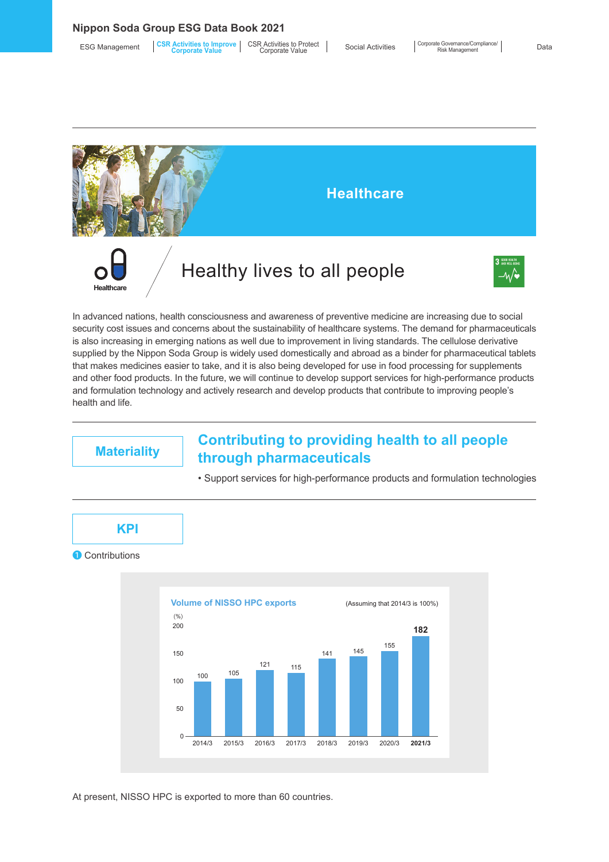**Nippon Soda Group ESG Data Book 2021**

| <b>ESG Management</b> | <b>CSR Activities to Improve</b><br>Corporate Value | <b>CSR Activities to Protect</b><br>Corporate Value | <b>Social Activities</b> | Corpo |
|-----------------------|-----------------------------------------------------|-----------------------------------------------------|--------------------------|-------|
|-----------------------|-----------------------------------------------------|-----------------------------------------------------|--------------------------|-------|





In advanced nations, health consciousness and awareness of preventive medicine are increasing due to social security cost issues and concerns about the sustainability of healthcare systems. The demand for pharmaceuticals is also increasing in emerging nations as well due to improvement in living standards. The cellulose derivative supplied by the Nippon Soda Group is widely used domestically and abroad as a binder for pharmaceutical tablets that makes medicines easier to take, and it is also being developed for use in food processing for supplements and other food products. In the future, we will continue to develop support services for high-performance products and formulation technology and actively research and develop products that contribute to improving people's health and life.

## **Materiality Contributing to providing health to all people through pharmaceuticals**



• Support services for high-performance products and formulation technologies

At present, NISSO HPC is exported to more than 60 countries.